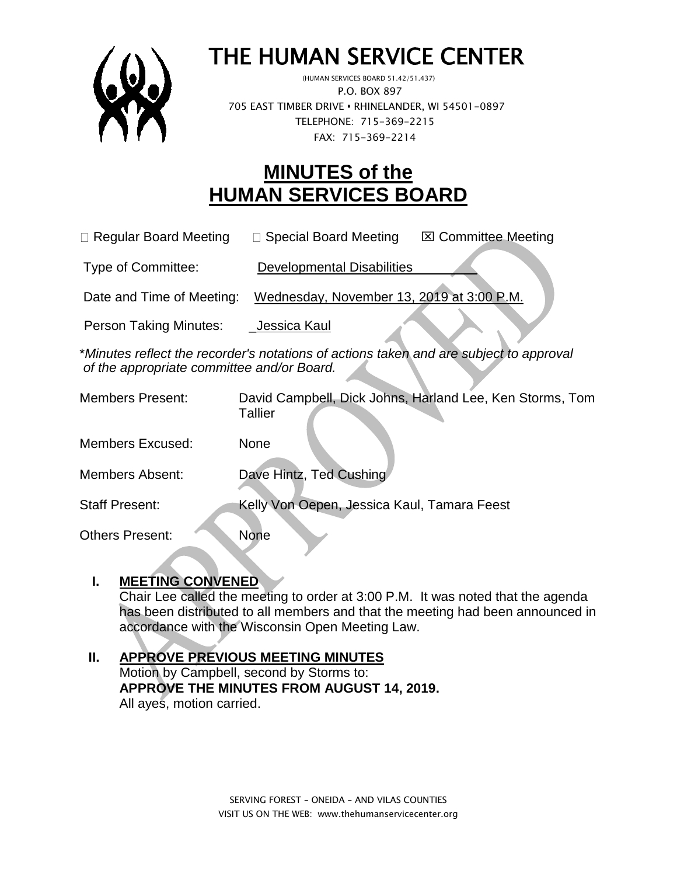

# THE HUMAN SERVICE CENTER

 (HUMAN SERVICES BOARD 51.42/51.437) P.O. BOX 897 705 EAST TIMBER DRIVE **•** RHINELANDER, WI 54501-0897 TELEPHONE: 715-369-2215 FAX: 715-369-2214

# **MINUTES of the HUMAN SERVICES BOARD**

 $\Box$  Regular Board Meeting  $\Box$  Special Board Meeting  $\Box$  Committee Meeting

Type of Committee: Developmental Disabilities

Date and Time of Meeting: Wednesday, November 13, 2019 at 3:00 P.M.

Person Taking Minutes: Jessica Kaul

\**Minutes reflect the recorder's notations of actions taken and are subject to approval of the appropriate committee and/or Board.*

| <b>Members Present:</b> | David Campbell, Dick Johns, Harland Lee, Ken Storms, Tom<br>Tallier |
|-------------------------|---------------------------------------------------------------------|
| <b>Members Excused:</b> | <b>None</b>                                                         |
| <b>Members Absent:</b>  | Dave Hintz, Ted Cushing                                             |
| <b>Staff Present:</b>   | Kelly Von Oepen, Jessica Kaul, Tamara Feest                         |
| <b>Others Present:</b>  | <b>None</b>                                                         |

### **I. MEETING CONVENED**

Chair Lee called the meeting to order at 3:00 P.M. It was noted that the agenda has been distributed to all members and that the meeting had been announced in accordance with the Wisconsin Open Meeting Law.

#### **II. APPROVE PREVIOUS MEETING MINUTES**  Motion by Campbell, second by Storms to: **APPROVE THE MINUTES FROM AUGUST 14, 2019.** All ayes, motion carried.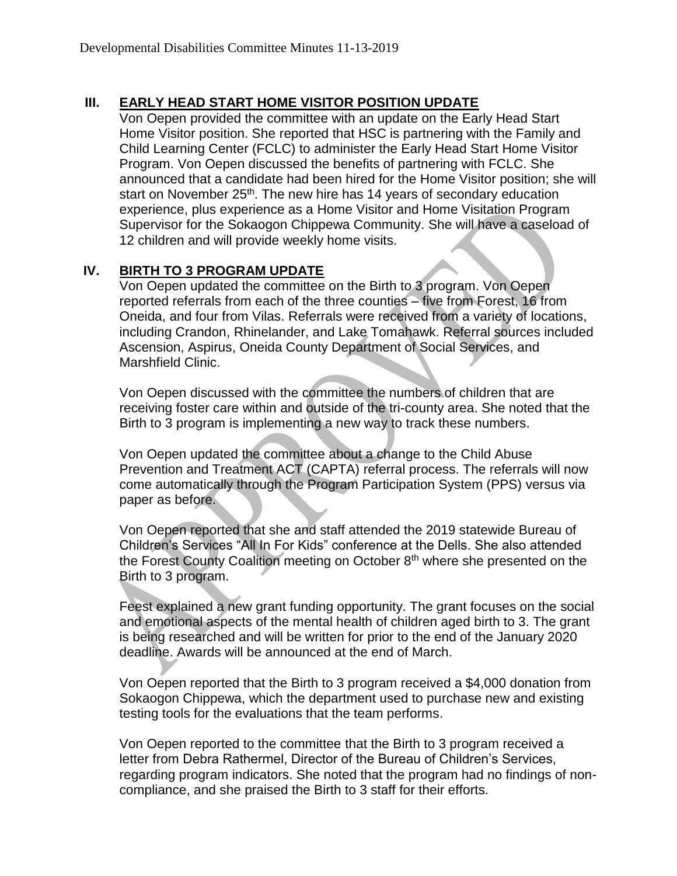## **III. EARLY HEAD START HOME VISITOR POSITION UPDATE**

Von Oepen provided the committee with an update on the Early Head Start Home Visitor position. She reported that HSC is partnering with the Family and Child Learning Center (FCLC) to administer the Early Head Start Home Visitor Program. Von Oepen discussed the benefits of partnering with FCLC. She announced that a candidate had been hired for the Home Visitor position; she will start on November 25<sup>th</sup>. The new hire has 14 years of secondary education experience, plus experience as a Home Visitor and Home Visitation Program Supervisor for the Sokaogon Chippewa Community. She will have a caseload of 12 children and will provide weekly home visits.

### **IV. BIRTH TO 3 PROGRAM UPDATE**

Von Oepen updated the committee on the Birth to 3 program. Von Oepen reported referrals from each of the three counties – five from Forest, 16 from Oneida, and four from Vilas. Referrals were received from a variety of locations, including Crandon, Rhinelander, and Lake Tomahawk. Referral sources included Ascension, Aspirus, Oneida County Department of Social Services, and Marshfield Clinic.

Von Oepen discussed with the committee the numbers of children that are receiving foster care within and outside of the tri-county area. She noted that the Birth to 3 program is implementing a new way to track these numbers.

Von Oepen updated the committee about a change to the Child Abuse Prevention and Treatment ACT (CAPTA) referral process. The referrals will now come automatically through the Program Participation System (PPS) versus via paper as before.

Von Oepen reported that she and staff attended the 2019 statewide Bureau of Children's Services "All In For Kids" conference at the Dells. She also attended the Forest County Coalition meeting on October 8th where she presented on the Birth to 3 program.

Feest explained a new grant funding opportunity. The grant focuses on the social and emotional aspects of the mental health of children aged birth to 3. The grant is being researched and will be written for prior to the end of the January 2020 deadline. Awards will be announced at the end of March.

Von Oepen reported that the Birth to 3 program received a \$4,000 donation from Sokaogon Chippewa, which the department used to purchase new and existing testing tools for the evaluations that the team performs.

Von Oepen reported to the committee that the Birth to 3 program received a letter from Debra Rathermel, Director of the Bureau of Children's Services, regarding program indicators. She noted that the program had no findings of noncompliance, and she praised the Birth to 3 staff for their efforts.